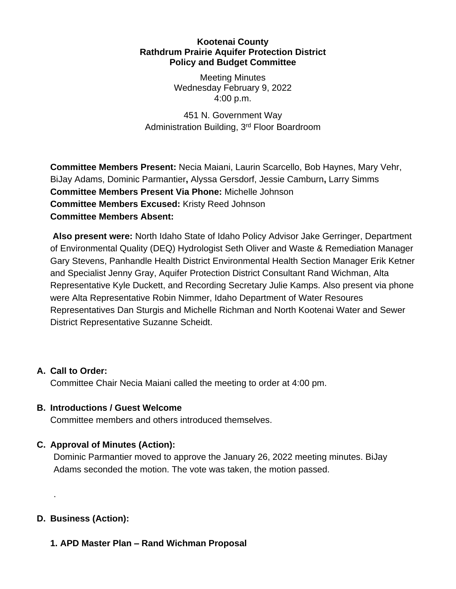#### **Kootenai County Rathdrum Prairie Aquifer Protection District Policy and Budget Committee**

Meeting Minutes Wednesday February 9, 2022 4:00 p.m.

451 N. Government Way Administration Building, 3rd Floor Boardroom

**Committee Members Present:** Necia Maiani, Laurin Scarcello, Bob Haynes, Mary Vehr, BiJay Adams, Dominic Parmantier**,** Alyssa Gersdorf, Jessie Camburn**,** Larry Simms **Committee Members Present Via Phone:** Michelle Johnson **Committee Members Excused:** Kristy Reed Johnson **Committee Members Absent:**

**Also present were:** North Idaho State of Idaho Policy Advisor Jake Gerringer, Department of Environmental Quality (DEQ) Hydrologist Seth Oliver and Waste & Remediation Manager Gary Stevens, Panhandle Health District Environmental Health Section Manager Erik Ketner and Specialist Jenny Gray, Aquifer Protection District Consultant Rand Wichman, Alta Representative Kyle Duckett, and Recording Secretary Julie Kamps. Also present via phone were Alta Representative Robin Nimmer, Idaho Department of Water Resoures Representatives Dan Sturgis and Michelle Richman and North Kootenai Water and Sewer District Representative Suzanne Scheidt.

#### **A. Call to Order:**

Committee Chair Necia Maiani called the meeting to order at 4:00 pm.

#### **B. Introductions / Guest Welcome**

Committee members and others introduced themselves.

#### **C. Approval of Minutes (Action):**

Dominic Parmantier moved to approve the January 26, 2022 meeting minutes. BiJay Adams seconded the motion. The vote was taken, the motion passed.

### **D. Business (Action):**

.

**1. APD Master Plan – Rand Wichman Proposal**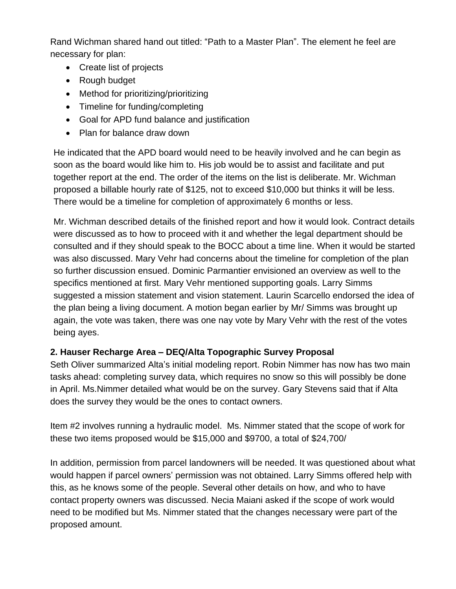Rand Wichman shared hand out titled: "Path to a Master Plan". The element he feel are necessary for plan:

- Create list of projects
- Rough budget
- Method for prioritizing/prioritizing
- Timeline for funding/completing
- Goal for APD fund balance and justification
- Plan for balance draw down

He indicated that the APD board would need to be heavily involved and he can begin as soon as the board would like him to. His job would be to assist and facilitate and put together report at the end. The order of the items on the list is deliberate. Mr. Wichman proposed a billable hourly rate of \$125, not to exceed \$10,000 but thinks it will be less. There would be a timeline for completion of approximately 6 months or less.

Mr. Wichman described details of the finished report and how it would look. Contract details were discussed as to how to proceed with it and whether the legal department should be consulted and if they should speak to the BOCC about a time line. When it would be started was also discussed. Mary Vehr had concerns about the timeline for completion of the plan so further discussion ensued. Dominic Parmantier envisioned an overview as well to the specifics mentioned at first. Mary Vehr mentioned supporting goals. Larry Simms suggested a mission statement and vision statement. Laurin Scarcello endorsed the idea of the plan being a living document. A motion began earlier by Mr/ Simms was brought up again, the vote was taken, there was one nay vote by Mary Vehr with the rest of the votes being ayes.

### **2. Hauser Recharge Area – DEQ/Alta Topographic Survey Proposal**

Seth Oliver summarized Alta's initial modeling report. Robin Nimmer has now has two main tasks ahead: completing survey data, which requires no snow so this will possibly be done in April. Ms.Nimmer detailed what would be on the survey. Gary Stevens said that if Alta does the survey they would be the ones to contact owners.

Item #2 involves running a hydraulic model. Ms. Nimmer stated that the scope of work for these two items proposed would be \$15,000 and \$9700, a total of \$24,700/

In addition, permission from parcel landowners will be needed. It was questioned about what would happen if parcel owners' permission was not obtained. Larry Simms offered help with this, as he knows some of the people. Several other details on how, and who to have contact property owners was discussed. Necia Maiani asked if the scope of work would need to be modified but Ms. Nimmer stated that the changes necessary were part of the proposed amount.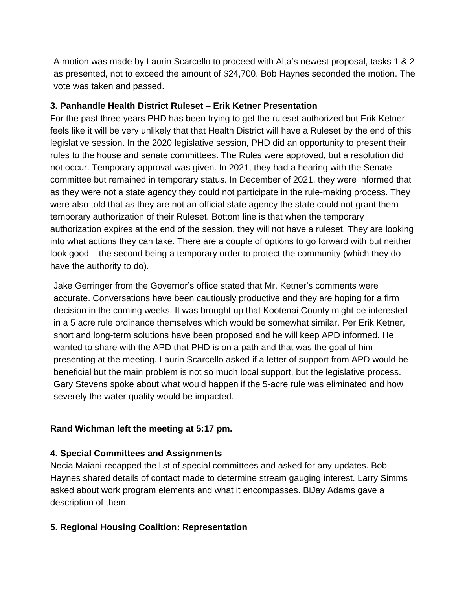A motion was made by Laurin Scarcello to proceed with Alta's newest proposal, tasks 1 & 2 as presented, not to exceed the amount of \$24,700. Bob Haynes seconded the motion. The vote was taken and passed.

#### **3. Panhandle Health District Ruleset – Erik Ketner Presentation**

For the past three years PHD has been trying to get the ruleset authorized but Erik Ketner feels like it will be very unlikely that that Health District will have a Ruleset by the end of this legislative session. In the 2020 legislative session, PHD did an opportunity to present their rules to the house and senate committees. The Rules were approved, but a resolution did not occur. Temporary approval was given. In 2021, they had a hearing with the Senate committee but remained in temporary status. In December of 2021, they were informed that as they were not a state agency they could not participate in the rule-making process. They were also told that as they are not an official state agency the state could not grant them temporary authorization of their Ruleset. Bottom line is that when the temporary authorization expires at the end of the session, they will not have a ruleset. They are looking into what actions they can take. There are a couple of options to go forward with but neither look good – the second being a temporary order to protect the community (which they do have the authority to do).

Jake Gerringer from the Governor's office stated that Mr. Ketner's comments were accurate. Conversations have been cautiously productive and they are hoping for a firm decision in the coming weeks. It was brought up that Kootenai County might be interested in a 5 acre rule ordinance themselves which would be somewhat similar. Per Erik Ketner, short and long-term solutions have been proposed and he will keep APD informed. He wanted to share with the APD that PHD is on a path and that was the goal of him presenting at the meeting. Laurin Scarcello asked if a letter of support from APD would be beneficial but the main problem is not so much local support, but the legislative process. Gary Stevens spoke about what would happen if the 5-acre rule was eliminated and how severely the water quality would be impacted.

### **Rand Wichman left the meeting at 5:17 pm.**

#### **4. Special Committees and Assignments**

Necia Maiani recapped the list of special committees and asked for any updates. Bob Haynes shared details of contact made to determine stream gauging interest. Larry Simms asked about work program elements and what it encompasses. BiJay Adams gave a description of them.

### **5. Regional Housing Coalition: Representation**